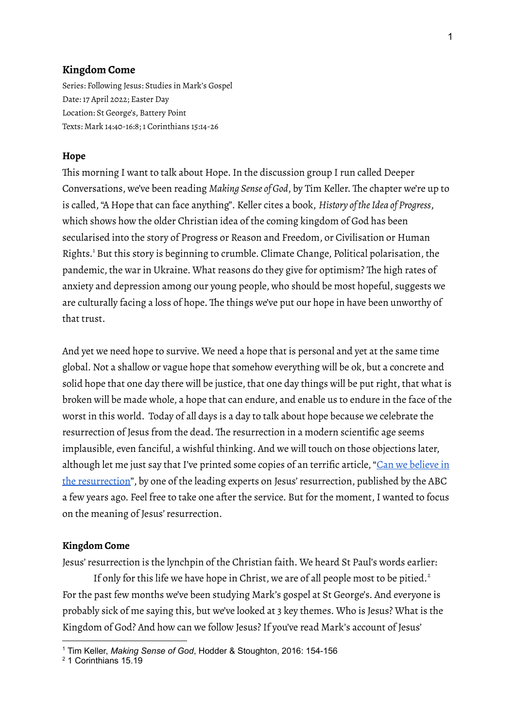### **Kingdom Come**

Series: Following Jesus: Studies in Mark's Gospel Date: 17 April 2022; Easter Day Location: St George's, Battery Point Texts: Mark 14:40-16:8; 1 Corinthians 15:14-26

## **Hope**

This morning I want to talk about Hope.In the discussion group I run called Deeper Conversations, we've been reading *Making Sense of God*, by Tim Keller. The chapter we're up to is called,"A Hope that can face anything". Keller cites a book, *History of theIdea of Progress*, which shows how the older Christian idea of the coming kingdom of God has been secularised into the story of Progress or Reason and Freedom, or Civilisation or Human Rights. <sup>1</sup> But this story is beginning to crumble. Climate Change, Political polarisation, the pandemic, the war in Ukraine. What reasons do they give for optimism? The high rates of anxiety and depression among our young people, who should be most hopeful, suggests we are culturally facing a loss of hope. The things we've put our hope in have been unworthy of that trust.

And yet we need hope to survive. We need a hope that is personal and yet at the same time global. Not a shallow or vague hope that somehow everything will be ok, but a concrete and solid hope that one day there will be justice, that one day things will be put right, that what is broken will be made whole, a hope that can endure, and enable us to endure in the face of the worst in this world. Today of all days is a day to talk about hope because we celebrate the resurrection of Jesus from the dead. The resurrection in a modern scientific age seems implausible, even fanciful, a wishful thinking. And we will touch on those objections later, although let me just say that I've printed some copies of an terrific article, "Can we [believe](https://www.abc.net.au/religion/can-we-believe-in-the-resurrection/10101522) in the [resurrection"](https://www.abc.net.au/religion/can-we-believe-in-the-resurrection/10101522), by one of the leading experts on Jesus'resurrection, published by the ABC a few years ago. Feel free to take one after the service. But for the moment, I wanted to focus on the meaning of Jesus'resurrection.

#### **Kingdom Come**

Jesus'resurrection is the lynchpin of the Christian faith. We heard St Paul's words earlier:

If only for this life we have hope in Christ, we are of all people most to be pitied. $^{2}$ For the past few months we've been studying Mark's gospel at St George's. And everyone is probably sick of me saying this, but we've looked at 3 key themes. Who is Jesus? What is the Kingdom of God? And how can we follow Jesus? If you've read Mark's account of Jesus'

<sup>1</sup> Tim Keller, *Making Sense of God*, Hodder & Stoughton, 2016: 154-156

<sup>2</sup> 1 Corinthians 15.19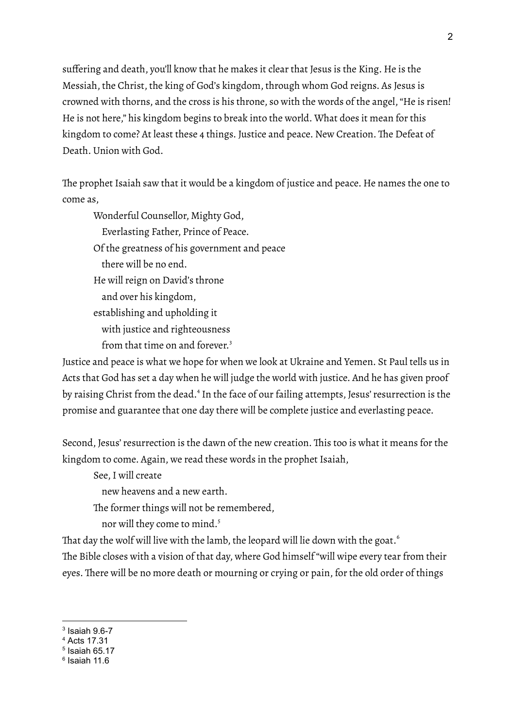suffering and death, you'll know that he makes it clear that Jesus is the King. He is the Messiah, the Christ, the king of God's kingdom, through whom God reigns. As Jesus is crowned with thorns, and the cross is his throne, so with the words of the angel,"He is risen! He is not here," his kingdom begins to break into the world. What does it mean for this kingdom to come? At least these 4 things. Justice and peace. New Creation. The Defeat of Death. Union with God.

The prophet Isaiah saw that it would be a kingdom of justice and peace. He names the one to come as,

Wonderful Counsellor, Mighty God,

Everlasting Father, Prince of Peace.

Of the greatness of his government and peace

there will be no end.

He will reign on David's throne

and over his kingdom,

establishing and upholding it

with justice and righteousness

from that time on and forever.<sup>3</sup>

Justice and peace is what we hope for when we look at Ukraine and Yemen. St Paul tells us in Acts that God has set a day when he will judge the world with justice. And he has given proof by raising Christ from the dead.<sup>4</sup> In the face of our failing attempts, Jesus' resurrection is the promise and guarantee that one day there will be complete justice and everlasting peace.

Second, Jesus'resurrection is the dawn of the new creation. This too is what it means for the kingdom to come. Again, we read these words in the prophet Isaiah,

See,I will create

new heavens and a new earth.

The former things will not be remembered,

nor will they come to mind. 5

That day the wolf will live with the lamb, the leopard will lie down with the goat. $^{\rm 6}$ 

The Bible closes with a vision of that day, where God himself "will wipe every tear from their eyes. There will be no more death or mourning or crying or pain, for the old order of things

 $3$  Isaiah 9.6-7

<sup>4</sup> Acts 17.31

 $<sup>5</sup>$  Isaiah 65.17</sup>

<sup>6</sup> Isaiah 11.6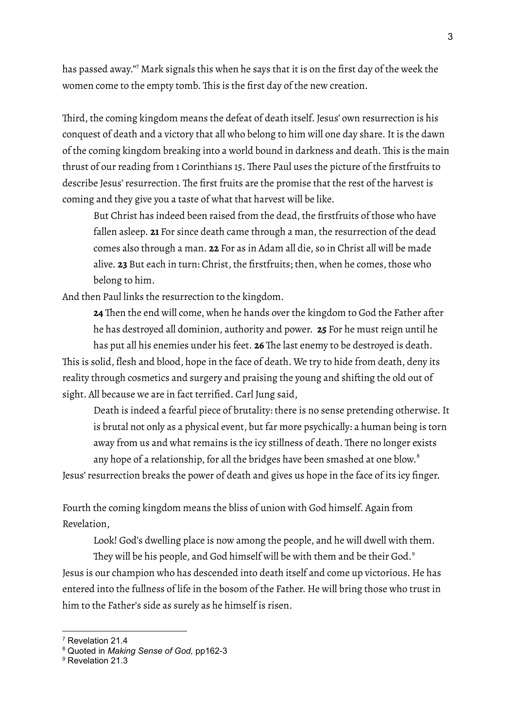has passed away." <sup>7</sup> Mark signals this when he says that it is on the first day of the week the women come to the empty tomb. This is the first day of the new creation.

Third, the coming kingdom means the defeat of death itself. Jesus' own resurrection is his conquest of death and a victory that all who belong to him will one day share. It is the dawn of the coming kingdom breaking into a world bound in darkness and death. This is the main thrust of our reading from 1 Corinthians 15. There Paul uses the picture of the firstfruits to describe Jesus' resurrection. The first fruits are the promise that the rest of the harvest is coming and they give you a taste of what that harvest will be like.

But Christ has indeed been raised from the dead, the firstfruits of those who have fallen asleep. **21** For since death came through a man, the resurrection of the dead comes also through a man. **22** For as in Adam all die, so in Christ all will be made alive. **23** But each in turn: Christ, the firstfruits; then, when he comes, those who belong to him.

And then Paul links the resurrection to the kingdom.

**24** Then the end will come, when he hands over the kingdom to God the Father after he has destroyed all dominion, authority and power. **25** For he must reign until he has put all his enemies under his feet. **26** The last enemy to be destroyed is death. This is solid, flesh and blood, hope in the face of death. We try to hide from death, deny its

reality through cosmetics and surgery and praising the young and shifting the old out of sight. All because we are in fact terrified. Carl Jung said,

Death is indeed a fearful piece of brutality: there is no sense pretending otherwise.It is brutal not only as a physical event, but far more psychically: a human being is torn away from us and what remains is the icy stillness of death. There no longer exists any hope of a relationship, for all the bridges have been smashed at one blow. $^{\mathrm{s}}$ 

Jesus'resurrection breaks the power of death and gives us hope in the face of its icy finger.

Fourth the coming kingdom means the bliss of union with God himself. Again from Revelation,

Look! God's dwelling place is now among the people, and he will dwell with them.

They will be his people, and God himself will be with them and be their God. $^{\circ}$ Jesus is our champion who has descended into death itself and come up victorious. He has entered into the fullness of life in the bosom of the Father. He will bring those who trust in him to the Father's side as surely as he himself is risen.

<sup>7</sup> Revelation 21.4

<sup>8</sup> Quoted in *Making Sense of God,* pp162-3

<sup>&</sup>lt;sup>9</sup> Revelation 21.3